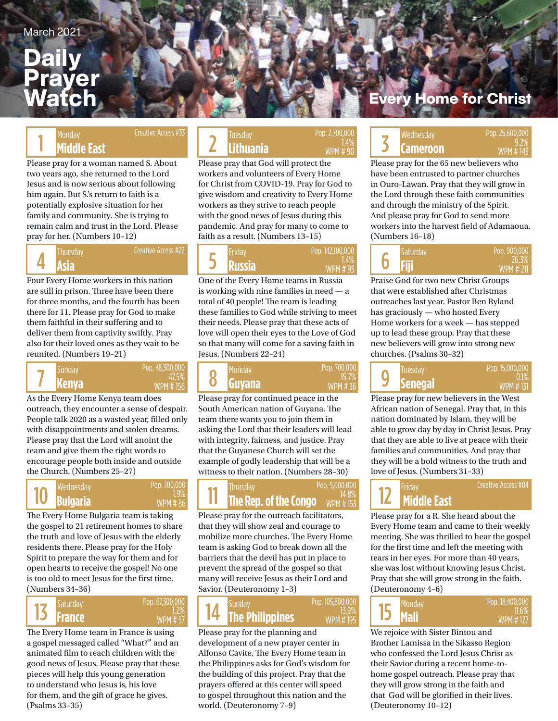## Dai Prayer Watch

## Creative Access #33

Please pray for a woman named S. About two years ago, she returned to the Lord Jesus and is now serious about following him again. But S.'s return to faith is a potentially explosive situation for her family and community. She is trying to remain calm and trust in the Lord. Please pray for her. (Numbers 10–12)

## 4

Creative Access #22

Four Every Home workers in this nation are still in prison. Three have been there for three months, and the fourth has been there for 11. Please pray for God to make them faithful in their suffering and to deliver them from captivity swiftly. Pray also for their loved ones as they wait to be reunited. (Numbers 19–21)



As the Every Home Kenya team does outreach, they encounter a sense of despair. People talk 2020 as a wasted year, filled only with disappointments and stolen dreams. Please pray that the Lord will anoint the team and give them the right words to encourage people both inside and outside the Church. (Numbers 25–27)

#### 10 Pop. 700,000 1.9% WPM # 86

The Every Home Bulgaria team is taking the gospel to 21 retirement homes to share the truth and love of Jesus with the elderly residents there. Please pray for the Holy Spirit to prepare the way for them and for open hearts to receive the gospel! No one is too old to meet Jesus for the first time. (Numbers 34–36)



The Every Home team in France is using a gospel messaged called "What?" and an animated film to reach children with the good news of Jesus. Please pray that these pieces will help this young generation to understand who Jesus is, his love for them, and the gift of grace he gives. (Psalms 33–35)

#### Monday **Constant Constant Constant Constant Constant Constant Constant Prop. 2,700,000 Lithuania** Monday Creative Access #33 | Tuesday Tuesday Pop. 2,700,000 | Degree Wednesday Pop. 2,700,00 1.4% WPM # 90

Please pray that God will protect the workers and volunteers of Every Home for Christ from COVID-19. Pray for God to give wisdom and creativity to Every Home workers as they strive to reach people with the good news of Jesus during this pandemic. And pray for many to come to faith as a result. (Numbers 13–15)

**Asia Russia Fiji**  Thursday Friday Saturday 5 Pop. 142,100,000 1.4% WPM # 93

One of the Every Home teams in Russia is working with nine families in need — a total of 40 people! The team is leading these families to God while striving to meet their needs. Please pray that these acts of love will open their eyes to the Love of God so that many will come for a saving faith in Jesus. (Numbers 22–24)



Please pray for continued peace in the South American nation of Guyana. The team there wants you to join them in asking the Lord that their leaders will lead with integrity, fairness, and justice. Pray that the Guyanese Church will set the example of godly leadership that will be a witness to their nation. (Numbers 28–30)

#### **Bulgaria The Rep. of the Congo** MPM # 153 Wednesday Pop. 700,000 **Pop. 700,000** Thursday Pop. 5,000,000 **Pop. 5,000,000** WPM # 153 11 Pop. 5,000,000

Please pray for the outreach facilitators, that they will show zeal and courage to mobilize more churches. The Every Home team is asking God to break down all the barriers that the devil has put in place to prevent the spread of the gospel so that many will receive Jesus as their Lord and Savior. (Deuteronomy 1–3)

### **The Philippines** 14 Pop. 105,800,000 WPM # 195

13.9%

Please pray for the planning and development of a new prayer center in Alfonso Cavite. The Every Home team in the Philippines asks for God's wisdom for the building of this project. Pray that the prayers offered at this center will speed to gospel throughout this nation and the world. (Deuteronomy 7–9)

## **Home for Christ**

## Monday Creative Access #33 UP 3.2% Tuesday Pop. 2,700,000 Pop. 2,700,000 Pop. 2,700,000 Pop. 25,600,000 Pop. 2<br><sup>9.2%</sup> Cameroon WPM #143 9.2% **Cameroon** WPM # 143

Please pray for the 65 new believers who have been entrusted to partner churches in Ouro-Lawan. Pray that they will grow in the Lord through these faith communities and through the ministry of the Spirit. And please pray for God to send more workers into the harvest field of Adamaoua. (Numbers 16–18)

|  | Saturday | Pop. 900,000             |
|--|----------|--------------------------|
|  | Fiii     | 26.3%<br><b>WPM #211</b> |

Praise God for two new Christ Groups that were established after Christmas outreaches last year. Pastor Ben Ryland has graciously — who hosted Every Home workers for a week — has stepped up to lead these group. Pray that these new believers will grow into strong new churches. (Psalms 30–32)

| 9 | Tuesday<br><b>Senegal</b> | Pop. 15,000,000<br>$(0.1\%)$ |
|---|---------------------------|------------------------------|
|   |                           | WPM #131                     |

Please pray for new believers in the West African nation of Senegal. Pray that, in this nation dominated by Islam, they will be able to grow day by day in Christ Jesus. Pray that they are able to live at peace with their families and communities. And pray that they will be a bold witness to the truth and love of Jesus. (Numbers 31–33)

12

Creative Access #04

Please pray for a R. She heard about the Every Home team and came to their weekly meeting. She was thrilled to hear the gospel for the first time and left the meeting with tears in her eyes. For more than 40 years, she was lost without knowing Jesus Christ. Pray that she will grow strong in the faith. (Deuteronomy 4–6)



We rejoice with Sister Bintou and Brother Lamissa in the Sikasso Region who confessed the Lord Jesus Christ as their Savior during a recent home-tohome gospel outreach. Please pray that they will grow strong in the faith and that God will be glorified in their lives. (Deuteronomy 10–12)